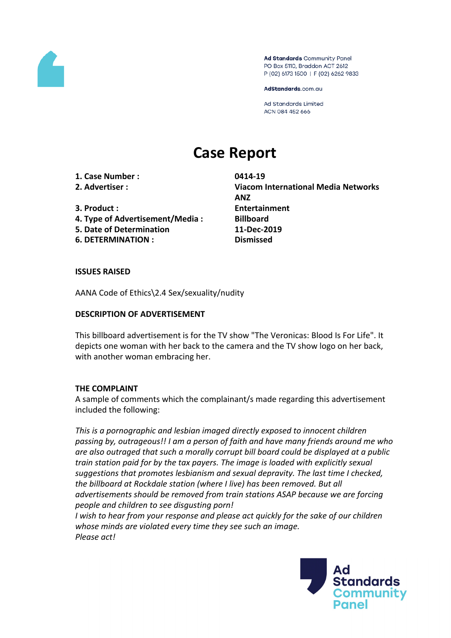

Ad Standards Community Panel PO Box 5110, Braddon ACT 2612 P (02) 6173 1500 | F (02) 6262 9833

AdStandards.com.au

**Ad Standards Limited** ACN 084 452 666

# **Case Report**

**1. Case Number : 0414-19**

- **4. Type of Advertisement/Media : Billboard**
- **5. Date of Determination 11-Dec-2019**
- **6. DETERMINATION : Dismissed**

**2. Advertiser : Viacom International Media Networks ANZ 3. Product : Entertainment**

### **ISSUES RAISED**

AANA Code of Ethics\2.4 Sex/sexuality/nudity

## **DESCRIPTION OF ADVERTISEMENT**

This billboard advertisement is for the TV show "The Veronicas: Blood Is For Life". It depicts one woman with her back to the camera and the TV show logo on her back, with another woman embracing her.

### **THE COMPLAINT**

A sample of comments which the complainant/s made regarding this advertisement included the following:

*This is a pornographic and lesbian imaged directly exposed to innocent children passing by, outrageous!! I am a person of faith and have many friends around me who are also outraged that such a morally corrupt bill board could be displayed at a public train station paid for by the tax payers. The image is loaded with explicitly sexual suggestions that promotes lesbianism and sexual depravity. The last time I checked, the billboard at Rockdale station (where I live) has been removed. But all advertisements should be removed from train stations ASAP because we are forcing people and children to see disgusting porn!*

*I wish to hear from your response and please act quickly for the sake of our children whose minds are violated every time they see such an image. Please act!*

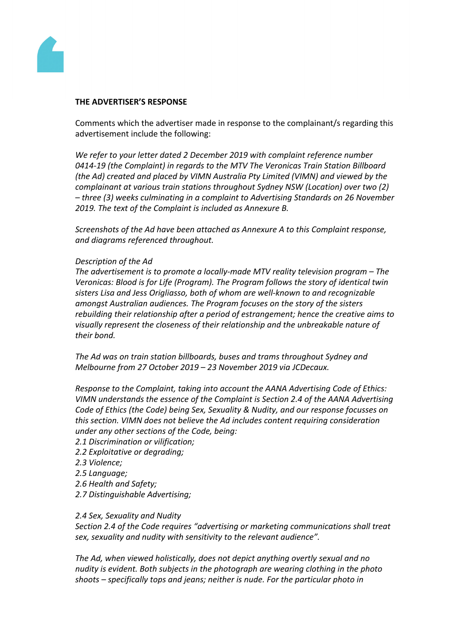

### **THE ADVERTISER'S RESPONSE**

Comments which the advertiser made in response to the complainant/s regarding this advertisement include the following:

*We refer to your letter dated 2 December 2019 with complaint reference number 0414-19 (the Complaint) in regards to the MTV The Veronicas Train Station Billboard (the Ad) created and placed by VIMN Australia Pty Limited (VIMN) and viewed by the complainant at various train stations throughout Sydney NSW (Location) over two (2) – three (3) weeks culminating in a complaint to Advertising Standards on 26 November 2019. The text of the Complaint is included as Annexure B.*

*Screenshots of the Ad have been attached as Annexure A to this Complaint response, and diagrams referenced throughout.*

### *Description of the Ad*

*The advertisement is to promote a locally-made MTV reality television program – The Veronicas: Blood is for Life (Program). The Program follows the story of identical twin sisters Lisa and Jess Origliasso, both of whom are well-known to and recognizable amongst Australian audiences. The Program focuses on the story of the sisters rebuilding their relationship after a period of estrangement; hence the creative aims to visually represent the closeness of their relationship and the unbreakable nature of their bond.* 

*The Ad was on train station billboards, buses and trams throughout Sydney and Melbourne from 27 October 2019 – 23 November 2019 via JCDecaux.* 

*Response to the Complaint, taking into account the AANA Advertising Code of Ethics: VIMN understands the essence of the Complaint is Section 2.4 of the AANA Advertising Code of Ethics (the Code) being Sex, Sexuality & Nudity, and our response focusses on this section. VIMN does not believe the Ad includes content requiring consideration under any other sections of the Code, being:*

- *2.1 Discrimination or vilification;*
- *2.2 Exploitative or degrading;*
- *2.3 Violence;*
- *2.5 Language;*
- *2.6 Health and Safety;*
- *2.7 Distinguishable Advertising;*

#### *2.4 Sex, Sexuality and Nudity*

*Section 2.4 of the Code requires "advertising or marketing communications shall treat sex, sexuality and nudity with sensitivity to the relevant audience".*

*The Ad, when viewed holistically, does not depict anything overtly sexual and no nudity is evident. Both subjects in the photograph are wearing clothing in the photo shoots – specifically tops and jeans; neither is nude. For the particular photo in*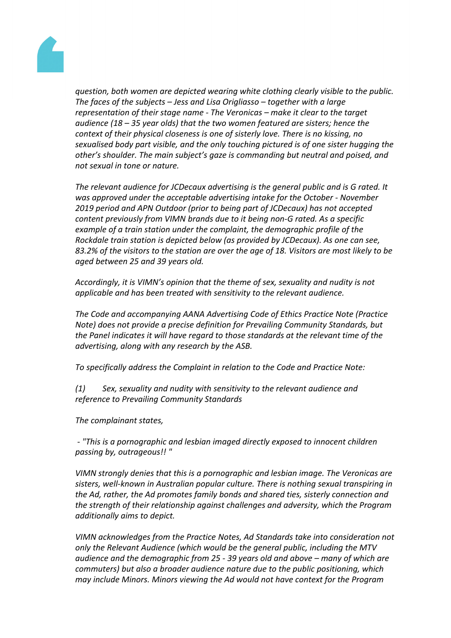

*question, both women are depicted wearing white clothing clearly visible to the public. The faces of the subjects – Jess and Lisa Origliasso – together with a large representation of their stage name - The Veronicas – make it clear to the target audience (18 – 35 year olds) that the two women featured are sisters; hence the context of their physical closeness is one of sisterly love. There is no kissing, no sexualised body part visible, and the only touching pictured is of one sister hugging the other's shoulder. The main subject's gaze is commanding but neutral and poised, and not sexual in tone or nature.*

*The relevant audience for JCDecaux advertising is the general public and is G rated. It was approved under the acceptable advertising intake for the October - November 2019 period and APN Outdoor (prior to being part of JCDecaux) has not accepted content previously from VIMN brands due to it being non-G rated. As a specific example of a train station under the complaint, the demographic profile of the Rockdale train station is depicted below (as provided by JCDecaux). As one can see, 83.2% of the visitors to the station are over the age of 18. Visitors are most likely to be aged between 25 and 39 years old.*

*Accordingly, it is VIMN's opinion that the theme of sex, sexuality and nudity is not applicable and has been treated with sensitivity to the relevant audience.*

*The Code and accompanying AANA Advertising Code of Ethics Practice Note (Practice Note) does not provide a precise definition for Prevailing Community Standards, but the Panel indicates it will have regard to those standards at the relevant time of the advertising, along with any research by the ASB.*

*To specifically address the Complaint in relation to the Code and Practice Note:*

*(1) Sex, sexuality and nudity with sensitivity to the relevant audience and reference to Prevailing Community Standards*

*The complainant states,*

*- "This is a pornographic and lesbian imaged directly exposed to innocent children passing by, outrageous!! "*

*VIMN strongly denies that this is a pornographic and lesbian image. The Veronicas are sisters, well-known in Australian popular culture. There is nothing sexual transpiring in the Ad, rather, the Ad promotes family bonds and shared ties, sisterly connection and the strength of their relationship against challenges and adversity, which the Program additionally aims to depict.*

*VIMN acknowledges from the Practice Notes, Ad Standards take into consideration not only the Relevant Audience (which would be the general public, including the MTV audience and the demographic from 25 - 39 years old and above – many of which are commuters) but also a broader audience nature due to the public positioning, which may include Minors. Minors viewing the Ad would not have context for the Program*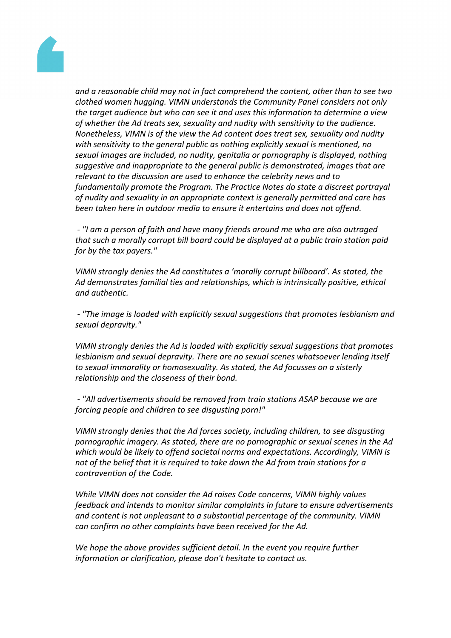

*and a reasonable child may not in fact comprehend the content, other than to see two clothed women hugging. VIMN understands the Community Panel considers not only the target audience but who can see it and uses this information to determine a view of whether the Ad treats sex, sexuality and nudity with sensitivity to the audience. Nonetheless, VIMN is of the view the Ad content does treat sex, sexuality and nudity with sensitivity to the general public as nothing explicitly sexual is mentioned, no sexual images are included, no nudity, genitalia or pornography is displayed, nothing suggestive and inappropriate to the general public is demonstrated, images that are relevant to the discussion are used to enhance the celebrity news and to fundamentally promote the Program. The Practice Notes do state a discreet portrayal of nudity and sexuality in an appropriate context is generally permitted and care has been taken here in outdoor media to ensure it entertains and does not offend.*

*- "I am a person of faith and have many friends around me who are also outraged that such a morally corrupt bill board could be displayed at a public train station paid for by the tax payers."*

*VIMN strongly denies the Ad constitutes a 'morally corrupt billboard'. As stated, the Ad demonstrates familial ties and relationships, which is intrinsically positive, ethical and authentic.*

*- "The image is loaded with explicitly sexual suggestions that promotes lesbianism and sexual depravity."*

*VIMN strongly denies the Ad is loaded with explicitly sexual suggestions that promotes lesbianism and sexual depravity. There are no sexual scenes whatsoever lending itself to sexual immorality or homosexuality. As stated, the Ad focusses on a sisterly relationship and the closeness of their bond.*

*- "All advertisements should be removed from train stations ASAP because we are forcing people and children to see disgusting porn!"*

*VIMN strongly denies that the Ad forces society, including children, to see disgusting pornographic imagery. As stated, there are no pornographic or sexual scenes in the Ad which would be likely to offend societal norms and expectations. Accordingly, VIMN is not of the belief that it is required to take down the Ad from train stations for a contravention of the Code.*

*While VIMN does not consider the Ad raises Code concerns, VIMN highly values feedback and intends to monitor similar complaints in future to ensure advertisements and content is not unpleasant to a substantial percentage of the community. VIMN can confirm no other complaints have been received for the Ad.*

*We hope the above provides sufficient detail. In the event you require further information or clarification, please don't hesitate to contact us.*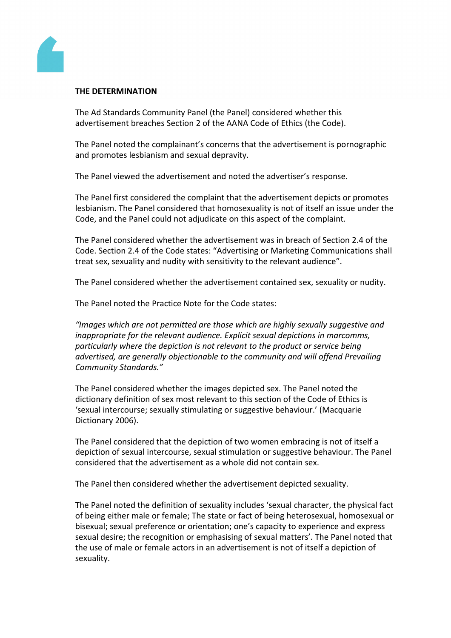

#### **THE DETERMINATION**

The Ad Standards Community Panel (the Panel) considered whether this advertisement breaches Section 2 of the AANA Code of Ethics (the Code).

The Panel noted the complainant's concerns that the advertisement is pornographic and promotes lesbianism and sexual depravity.

The Panel viewed the advertisement and noted the advertiser's response.

The Panel first considered the complaint that the advertisement depicts or promotes lesbianism. The Panel considered that homosexuality is not of itself an issue under the Code, and the Panel could not adjudicate on this aspect of the complaint.

The Panel considered whether the advertisement was in breach of Section 2.4 of the Code. Section 2.4 of the Code states: "Advertising or Marketing Communications shall treat sex, sexuality and nudity with sensitivity to the relevant audience".

The Panel considered whether the advertisement contained sex, sexuality or nudity.

The Panel noted the Practice Note for the Code states:

*"Images which are not permitted are those which are highly sexually suggestive and inappropriate for the relevant audience. Explicit sexual depictions in marcomms, particularly where the depiction is not relevant to the product or service being advertised, are generally objectionable to the community and will offend Prevailing Community Standards."*

The Panel considered whether the images depicted sex. The Panel noted the dictionary definition of sex most relevant to this section of the Code of Ethics is 'sexual intercourse; sexually stimulating or suggestive behaviour.' (Macquarie Dictionary 2006).

The Panel considered that the depiction of two women embracing is not of itself a depiction of sexual intercourse, sexual stimulation or suggestive behaviour. The Panel considered that the advertisement as a whole did not contain sex.

The Panel then considered whether the advertisement depicted sexuality.

The Panel noted the definition of sexuality includes 'sexual character, the physical fact of being either male or female; The state or fact of being heterosexual, homosexual or bisexual; sexual preference or orientation; one's capacity to experience and express sexual desire; the recognition or emphasising of sexual matters'. The Panel noted that the use of male or female actors in an advertisement is not of itself a depiction of sexuality.